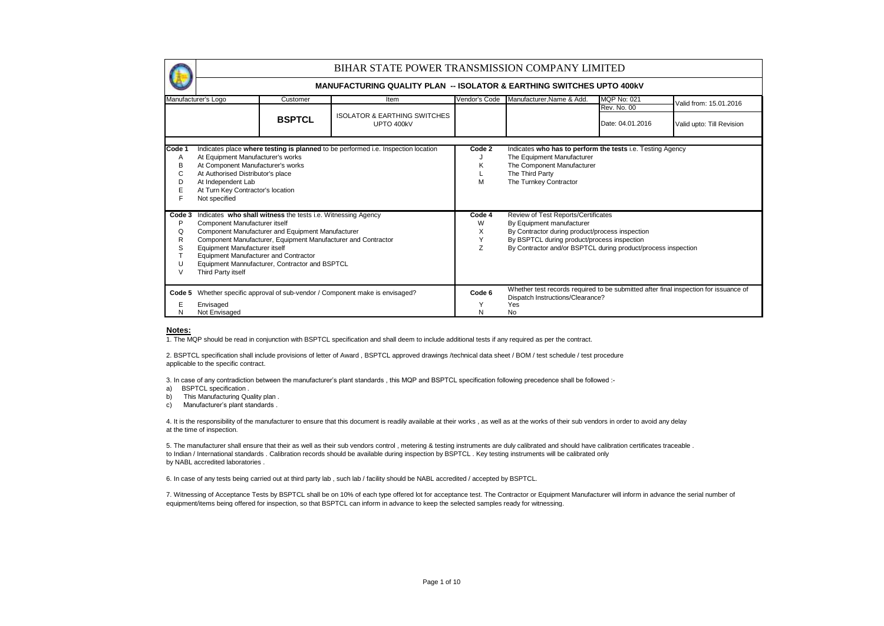|                                 |                                                                                                                                                                                                                                                                                                                                                                                                                                                                                                                                                                                                                                                   |               | BIHAR STATE POWER TRANSMISSION COMPANY LIMITED                                    |                  |                                                                                                                                                                     |                                 |                           |  |  |  |
|---------------------------------|---------------------------------------------------------------------------------------------------------------------------------------------------------------------------------------------------------------------------------------------------------------------------------------------------------------------------------------------------------------------------------------------------------------------------------------------------------------------------------------------------------------------------------------------------------------------------------------------------------------------------------------------------|---------------|-----------------------------------------------------------------------------------|------------------|---------------------------------------------------------------------------------------------------------------------------------------------------------------------|---------------------------------|---------------------------|--|--|--|
|                                 |                                                                                                                                                                                                                                                                                                                                                                                                                                                                                                                                                                                                                                                   |               | <b>MANUFACTURING QUALITY PLAN -- ISOLATOR &amp; EARTHING SWITCHES UPTO 400kV</b>  |                  |                                                                                                                                                                     |                                 |                           |  |  |  |
|                                 | Manufacturer's Logo                                                                                                                                                                                                                                                                                                                                                                                                                                                                                                                                                                                                                               | Customer      | Item                                                                              | Vendor's Code    | Manufacturer, Name & Add.                                                                                                                                           | <b>MQP No: 021</b>              | Valid from: 15.01.2016    |  |  |  |
|                                 |                                                                                                                                                                                                                                                                                                                                                                                                                                                                                                                                                                                                                                                   | <b>BSPTCL</b> | <b>ISOLATOR &amp; EARTHING SWITCHES</b><br>UPTO 400kV                             |                  |                                                                                                                                                                     | Rev. No. 00<br>Date: 04.01.2016 | Valid upto: Till Revision |  |  |  |
| Code 1<br>Α<br>в<br>С<br>D      | At Equipment Manufacturer's works<br>At Component Manufacturer's works<br>At Authorised Distributor's place<br>At Independent Lab<br>At Turn Key Contractor's location<br>Not specified                                                                                                                                                                                                                                                                                                                                                                                                                                                           |               | Indicates place where testing is planned to be performed i.e. Inspection location | Code 2<br>K<br>M | Indicates who has to perform the tests i.e. Testing Agency<br>The Equipment Manufacturer<br>The Component Manufacturer<br>The Third Party<br>The Turnkey Contractor |                                 |                           |  |  |  |
| Code 3<br>P<br>Q<br>R<br>S<br>V | Indicates who shall witness the tests i.e. Witnessing Agency<br>Review of Test Reports/Certificates<br>Code 4<br>Component Manufacturer itself<br>By Equipment manufacturer<br>W<br>X<br>Component Manufacturer and Equipment Manufacturer<br>By Contractor during product/process inspection<br>Y<br>By BSPTCL during product/process inspection<br>Component Manufacturer, Equipment Manufacturer and Contractor<br>Z<br>By Contractor and/or BSPTCL during product/process inspection<br>Equipment Manufacturer itself<br><b>Equipment Manufacturer and Contractor</b><br>Equipment Mannufacturer, Contractor and BSPTCL<br>Third Party itself |               |                                                                                   |                  |                                                                                                                                                                     |                                 |                           |  |  |  |
| Code 5<br>N                     | Envisaged<br>Not Envisaged                                                                                                                                                                                                                                                                                                                                                                                                                                                                                                                                                                                                                        |               | Whether specific approval of sub-vendor / Component make is envisaged?            | Code 6<br>N      | Whether test records required to be submitted after final inspection for issuance of<br>Dispatch Instructions/Clearance?<br>Yes<br>No                               |                                 |                           |  |  |  |

#### **Notes:**

1. The MQP should be read in conjunction with BSPTCL specification and shall deem to include additional tests if any required as per the contract.

2. BSPTCL specification shall include provisions of letter of Award , BSPTCL approved drawings /technical data sheet / BOM / test schedule / test procedure applicable to the specific contract.

3. In case of any contradiction between the manufacturer's plant standards , this MQP and BSPTCL specification following precedence shall be followed :-

- a) BSPTCL specification .
- b) This Manufacturing Quality plan.
- c) Manufacturer's plant standards .

4. It is the responsibility of the manufacturer to ensure that this document is readily available at their works , as well as at the works of their sub vendors in order to avoid any delay at the time of inspection.

5. The manufacturer shall ensure that their as well as their sub vendors control , metering & testing instruments are duly calibrated and should have calibration certificates traceable . to Indian / International standards . Calibration records should be available during inspection by BSPTCL . Key testing instruments will be calibrated only by NABL accredited laboratories .

6. In case of any tests being carried out at third party lab , such lab / facility should be NABL accredited / accepted by BSPTCL.

7. Witnessing of Acceptance Tests by BSPTCL shall be on 10% of each type offered lot for acceptance test. The Contractor or Equipment Manufacturer will inform in advance the serial number of equipment/items being offered for inspection, so that BSPTCL can inform in advance to keep the selected samples ready for witnessing.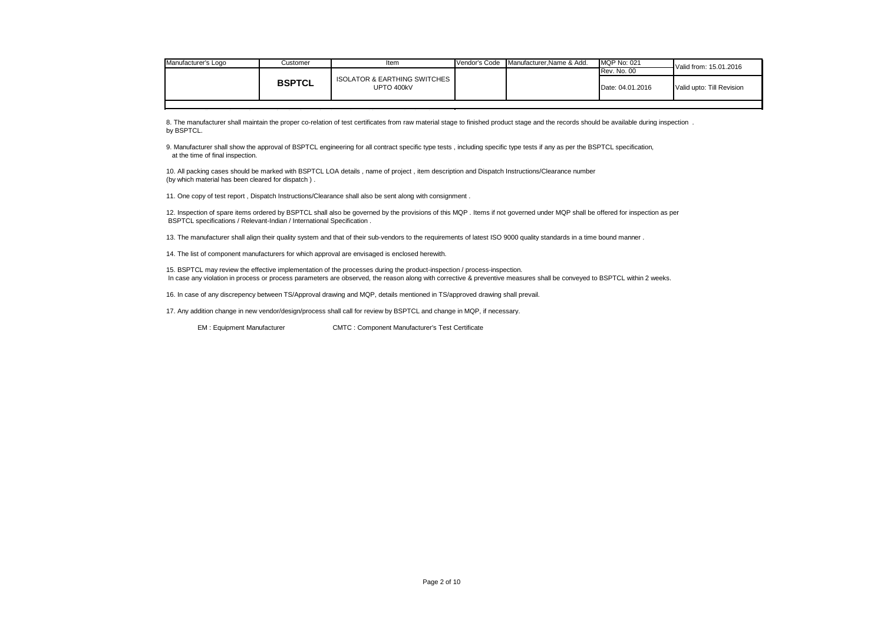| Manufacturer's Logo | Customer      | Item                                                  | Vendor's Code | Manufacturer.Name & Add. | <b>MQP No: 021</b> | Valid from: 15.01.2016    |
|---------------------|---------------|-------------------------------------------------------|---------------|--------------------------|--------------------|---------------------------|
|                     |               |                                                       |               |                          | <b>Rev. No. 00</b> |                           |
|                     | <b>BSPTCL</b> | <b>ISOLATOR &amp; EARTHING SWITCHES</b><br>UPTO 400kV |               |                          | Date: 04.01.2016   | Valid upto: Till Revision |
|                     |               |                                                       |               |                          |                    |                           |

8. The manufacturer shall maintain the proper co-relation of test certificates from raw material stage to finished product stage and the records should be available during inspection. by BSPTCL.

9. Manufacturer shall show the approval of BSPTCL engineering for all contract specific type tests , including specific type tests if any as per the BSPTCL specification, at the time of final inspection.

10. All packing cases should be marked with BSPTCL LOA details , name of project , item description and Dispatch Instructions/Clearance number (by which material has been cleared for dispatch ) .

11. One copy of test report , Dispatch Instructions/Clearance shall also be sent along with consignment .

12. Inspection of spare items ordered by BSPTCL shall also be governed by the provisions of this MQP . Items if not governed under MQP shall be offered for inspection as per BSPTCL specifications / Relevant-Indian / International Specification .

13. The manufacturer shall align their quality system and that of their sub-vendors to the requirements of latest ISO 9000 quality standards in a time bound manner .

14. The list of component manufacturers for which approval are envisaged is enclosed herewith.

15. BSPTCL may review the effective implementation of the processes during the product-inspection / process-inspection. In case any violation in process or process parameters are observed, the reason along with corrective & preventive measures shall be conveyed to BSPTCL within 2 weeks.

16. In case of any discrepency between TS/Approval drawing and MQP, details mentioned in TS/approved drawing shall prevail.

17. Any addition change in new vendor/design/process shall call for review by BSPTCL and change in MQP, if necessary.

EM : Equipment Manufacturer CMTC : Component Manufacturer's Test Certificate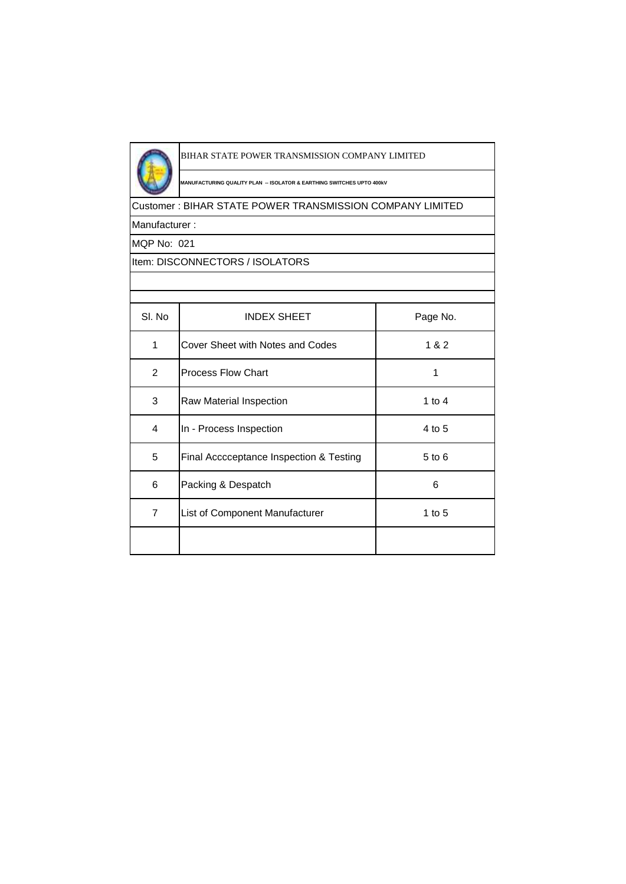

# BIHAR STATE POWER TRANSMISSION COMPANY LIMITED

**MANUFACTURING QUALITY PLAN -- ISOLATOR & EARTHING SWITCHES UPTO 400kV**

# Customer : BIHAR STATE POWER TRANSMISSION COMPANY LIMITED

Manufacturer :

MQP No: 021

# Item: DISCONNECTORS / ISOLATORS

| SI. No         | <b>INDEX SHEET</b>                      | Page No. |
|----------------|-----------------------------------------|----------|
| 1              | Cover Sheet with Notes and Codes        | 1 & 2    |
| 2              | <b>Process Flow Chart</b>               | 1        |
| 3              | Raw Material Inspection                 | 1 to $4$ |
| 4              | In - Process Inspection                 | 4 to 5   |
| 5              | Final Acccceptance Inspection & Testing | 5 to 6   |
| 6              | Packing & Despatch                      | 6        |
| $\overline{7}$ | List of Component Manufacturer          | 1 to $5$ |
|                |                                         |          |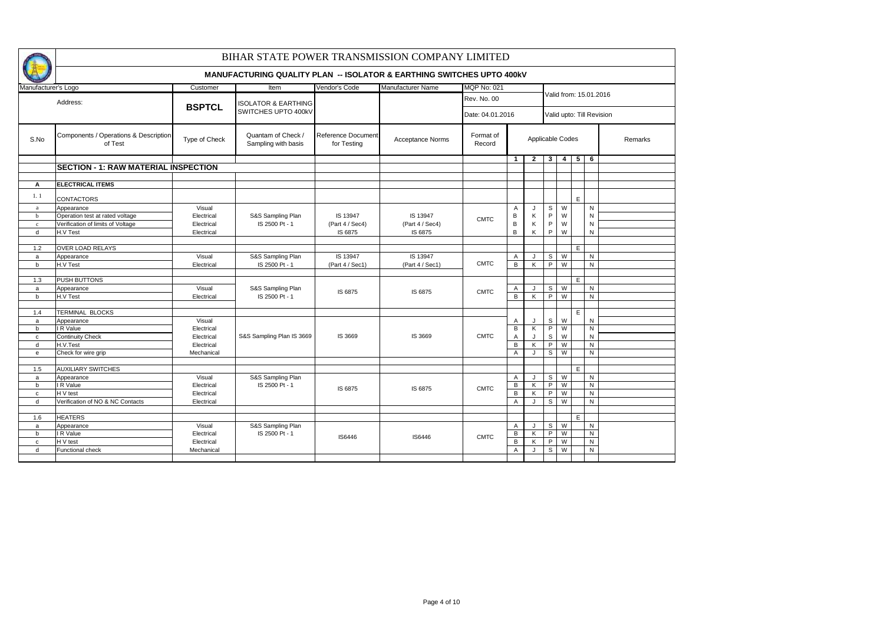|                     |                                                  |                          | BIHAR STATE POWER TRANSMISSION COMPANY LIMITED                                   |                                   |                         |                     |                     |                         |                |                |    |                           |         |  |  |  |
|---------------------|--------------------------------------------------|--------------------------|----------------------------------------------------------------------------------|-----------------------------------|-------------------------|---------------------|---------------------|-------------------------|----------------|----------------|----|---------------------------|---------|--|--|--|
|                     |                                                  |                          | <b>MANUFACTURING QUALITY PLAN -- ISOLATOR &amp; EARTHING SWITCHES UPTO 400KV</b> |                                   |                         |                     |                     |                         |                |                |    |                           |         |  |  |  |
| Manufacturer's Logo |                                                  | Customer                 | Item                                                                             | Vendor's Code                     | Manufacturer Name       | <b>MQP No: 021</b>  |                     |                         |                |                |    |                           |         |  |  |  |
|                     | Address:                                         | <b>BSPTCL</b>            | <b>ISOLATOR &amp; EARTHING</b>                                                   |                                   |                         | Rev. No. 00         |                     |                         |                |                |    | Valid from: 15.01.2016    |         |  |  |  |
|                     |                                                  |                          | SWITCHES UPTO 400kV                                                              |                                   |                         | Date: 04.01.2016    |                     |                         |                |                |    | Valid upto: Till Revision |         |  |  |  |
| S.No                | Components / Operations & Description<br>of Test | Type of Check            | Quantam of Check /<br>Sampling with basis                                        | Reference Document<br>for Testing | <b>Acceptance Norms</b> | Format of<br>Record |                     | Applicable Codes        |                |                |    |                           | Remarks |  |  |  |
|                     |                                                  |                          |                                                                                  |                                   |                         |                     | $\mathbf{1}$        | $\overline{2}$          | 3              | 4              | 5  | 6                         |         |  |  |  |
|                     | <b>SECTION - 1: RAW MATERIAL INSPECTION</b>      |                          |                                                                                  |                                   |                         |                     |                     |                         |                |                |    |                           |         |  |  |  |
|                     |                                                  |                          |                                                                                  |                                   |                         |                     |                     |                         |                |                |    |                           |         |  |  |  |
| А                   | <b>ELECTRICAL ITEMS</b>                          |                          |                                                                                  |                                   |                         |                     |                     |                         |                |                |    |                           |         |  |  |  |
| 1.1                 | <b>CONTACTORS</b>                                |                          |                                                                                  |                                   |                         |                     |                     |                         |                |                | E  |                           |         |  |  |  |
| $\mathbf{a}$        | Appearance                                       | Visual                   |                                                                                  |                                   |                         |                     | Α                   | J                       | s              | W              |    | N                         |         |  |  |  |
| $\mathbf b$         | Operation test at rated voltage                  | Electrical               | S&S Sampling Plan                                                                | IS 13947                          | IS 13947                | <b>CMTC</b>         | B                   | Κ                       | P              | W              |    | $\mathsf{N}$              |         |  |  |  |
| $\mathbf c$         | Verification of limits of Voltage                | Electrical               | IS 2500 Pt - 1                                                                   | (Part 4 / Sec4)                   | (Part 4 / Sec4)         |                     | В                   | Κ                       | P              | W              |    | $\mathsf{N}$              |         |  |  |  |
| $\mathsf{d}$        | H.V Test                                         | Electrical               |                                                                                  | IS 6875                           | IS 6875                 |                     | B                   | Κ                       | P              | W              |    | $\mathsf{N}$              |         |  |  |  |
|                     |                                                  |                          |                                                                                  |                                   |                         |                     |                     |                         |                |                |    |                           |         |  |  |  |
| 1.2                 | OVER LOAD RELAYS                                 | Visual                   |                                                                                  | IS 13947                          | IS 13947                |                     |                     |                         |                |                | E  | ${\sf N}$                 |         |  |  |  |
| $\mathsf{a}$<br>b   | Appearance<br>H.V Test                           | Electrical               | S&S Sampling Plan<br>IS 2500 Pt - 1                                              | (Part 4 / Sec1)                   | (Part 4 / Sec1)         | <b>CMTC</b>         | Α<br>B              | J<br>Κ                  | s<br>P         | W<br>W         |    | N                         |         |  |  |  |
|                     |                                                  |                          |                                                                                  |                                   |                         |                     |                     |                         |                |                |    |                           |         |  |  |  |
| 1.3                 | <b>PUSH BUTTONS</b>                              |                          |                                                                                  |                                   |                         |                     |                     |                         |                |                | E  |                           |         |  |  |  |
| $\mathsf{a}$        | Appearance                                       | Visual                   | S&S Sampling Plan                                                                |                                   |                         |                     | Α                   | $\mathbf{J}$            | S              | W              |    | $\overline{N}$            |         |  |  |  |
| b                   | H.V Test                                         | Electrical               | IS 2500 Pt - 1                                                                   | IS 6875                           | IS 6875                 | <b>CMTC</b>         | B                   | Κ                       | P              | W              |    | N                         |         |  |  |  |
|                     |                                                  |                          |                                                                                  |                                   |                         |                     |                     |                         |                |                |    |                           |         |  |  |  |
| 1.4                 | <b>TERMINAL BLOCKS</b>                           |                          |                                                                                  |                                   |                         |                     |                     |                         |                |                | E. |                           |         |  |  |  |
| a                   | Appearance                                       | Visual                   |                                                                                  |                                   |                         |                     | Α                   |                         | $\mathbb S$    | W              |    | ${\sf N}$                 |         |  |  |  |
| b                   | R Value                                          | Electrical               |                                                                                  |                                   |                         |                     | B                   | K                       | P              | $\overline{W}$ |    | $\mathsf{N}$              |         |  |  |  |
| $\mathbf{C}$        | <b>Continuity Check</b>                          | Electrical               | S&S Sampling Plan IS 3669                                                        | IS 3669                           | IS 3669                 | <b>CMTC</b>         | Α                   | J                       | S              | W              |    | ${\sf N}$                 |         |  |  |  |
| d                   | H.V.Test                                         | Electrical               |                                                                                  |                                   |                         |                     | $\overline{B}$      | $\overline{\mathsf{K}}$ | $\overline{P}$ | $\overline{W}$ |    | $\mathsf{N}$              |         |  |  |  |
| e                   | Check for wire grip                              | Mechanical               |                                                                                  |                                   |                         |                     | Α                   | J                       | S              | W              |    | ${\sf N}$                 |         |  |  |  |
|                     |                                                  |                          |                                                                                  |                                   |                         |                     |                     |                         |                |                |    |                           |         |  |  |  |
| 1.5                 | <b>AUXILIARY SWITCHES</b>                        |                          |                                                                                  |                                   |                         |                     |                     |                         |                |                | E. |                           |         |  |  |  |
| $\mathsf{a}$        | Appearance                                       | Visual                   | S&S Sampling Plan                                                                |                                   |                         |                     | Α                   |                         | s<br>P         | W<br>W         |    | ${\sf N}$                 |         |  |  |  |
| b                   | IR Value<br>H V test                             | Electrical               | IS 2500 Pt - 1                                                                   | IS 6875                           | IS 6875                 | <b>CMTC</b>         | В<br>$\overline{B}$ | K                       | P              | W              |    | ${\sf N}$<br>${\sf N}$    |         |  |  |  |
| $\mathbf{C}$<br>d   | Verification of NO & NC Contacts                 | Electrical<br>Electrical |                                                                                  |                                   |                         |                     | $\overline{A}$      | Κ<br>J                  | S              | W              |    | N                         |         |  |  |  |
|                     |                                                  |                          |                                                                                  |                                   |                         |                     |                     |                         |                |                |    |                           |         |  |  |  |
| 1.6                 | <b>HEATERS</b>                                   |                          |                                                                                  |                                   |                         |                     |                     |                         |                |                | E. |                           |         |  |  |  |
| a                   | Appearance                                       | Visual                   | S&S Sampling Plan                                                                |                                   |                         |                     | A                   | $\cdot$                 | s              | W              |    | ${\sf N}$                 |         |  |  |  |
| b                   | IR Value                                         | Electrical               | IS 2500 Pt - 1                                                                   |                                   |                         |                     | В                   | K                       | P              | W              |    | ${\sf N}$                 |         |  |  |  |
| $\mathtt{C}$        | H V test                                         | Electrical               |                                                                                  | <b>IS6446</b>                     | IS6446                  | <b>CMTC</b>         | В                   | K                       | P              | W              |    | ${\sf N}$                 |         |  |  |  |
| d                   | Functional check                                 | Mechanical               |                                                                                  |                                   |                         |                     | $\overline{A}$      | J                       | S              | W              |    | $\mathsf{N}$              |         |  |  |  |
|                     |                                                  |                          |                                                                                  |                                   |                         |                     |                     |                         |                |                |    |                           |         |  |  |  |
|                     |                                                  |                          |                                                                                  |                                   |                         |                     |                     |                         |                |                |    |                           |         |  |  |  |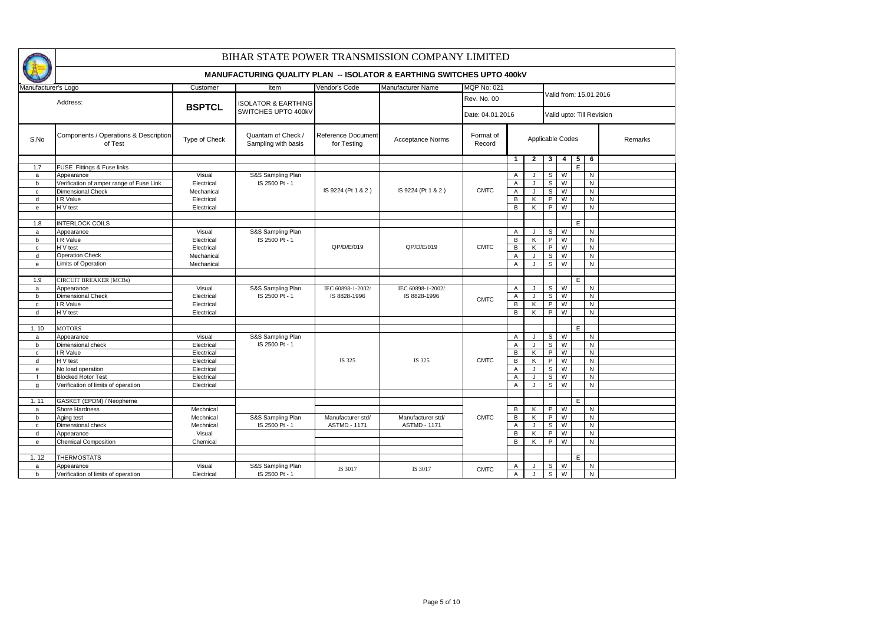|                     |                                                  |               | BIHAR STATE POWER TRANSMISSION COMPANY LIMITED                                   |                                   |                         |                     |                |       |                  |                         |    |                |                           |  |  |  |  |  |
|---------------------|--------------------------------------------------|---------------|----------------------------------------------------------------------------------|-----------------------------------|-------------------------|---------------------|----------------|-------|------------------|-------------------------|----|----------------|---------------------------|--|--|--|--|--|
|                     |                                                  |               | <b>MANUFACTURING QUALITY PLAN -- ISOLATOR &amp; EARTHING SWITCHES UPTO 400KV</b> |                                   |                         |                     |                |       |                  |                         |    |                |                           |  |  |  |  |  |
| Manufacturer's Logo |                                                  | Customer      | Item                                                                             | Vendor's Code                     | Manufacturer Name       | <b>MQP No: 021</b>  |                |       |                  |                         |    |                |                           |  |  |  |  |  |
|                     | Address:                                         |               | <b>ISOLATOR &amp; EARTHING</b>                                                   |                                   |                         | <b>Rev. No. 00</b>  |                |       |                  |                         |    |                | Valid from: 15.01.2016    |  |  |  |  |  |
|                     |                                                  | <b>BSPTCL</b> | SWITCHES UPTO 400KV                                                              |                                   |                         | Date: 04.01.2016    |                |       |                  |                         |    |                | Valid upto: Till Revision |  |  |  |  |  |
| S.No                | Components / Operations & Description<br>of Test | Type of Check | Quantam of Check /<br>Sampling with basis                                        | Reference Document<br>for Testing | <b>Acceptance Norms</b> | Format of<br>Record |                |       | Applicable Codes |                         |    |                | Remarks                   |  |  |  |  |  |
|                     |                                                  |               |                                                                                  |                                   |                         |                     | $\mathbf{1}$   | $2-1$ | 3 <sup>1</sup>   | $\overline{4}$          | -5 | 6              |                           |  |  |  |  |  |
| 1.7                 | FUSE Fittings & Fuse links                       |               |                                                                                  |                                   |                         |                     |                |       |                  |                         | E  |                |                           |  |  |  |  |  |
| $\mathsf{a}$        | Appearance                                       | Visual        | S&S Sampling Plan                                                                |                                   |                         |                     | A              | J     | $\mathsf{s}$     | $\overline{\mathsf{w}}$ |    | N              |                           |  |  |  |  |  |
| $\mathbf b$         | Verification of amper range of Fuse Link         | Electrical    | IS 2500 Pt - 1                                                                   |                                   |                         |                     | A              | J     | s                | W                       |    | N              |                           |  |  |  |  |  |
| $\mathbf c$         | <b>Dimensional Check</b>                         | Mechanical    |                                                                                  | IS 9224 (Pt 1 & 2)                | IS 9224 (Pt 1 & 2)      | <b>CMTC</b>         | A              | J     | S                | W                       |    | ${\sf N}$      |                           |  |  |  |  |  |
| d                   | I R Value                                        | Electrical    |                                                                                  |                                   |                         |                     | В              | K     | P                | W                       |    | ${\sf N}$      |                           |  |  |  |  |  |
| $\mathsf{e}\,$      | H V test                                         | Electrical    |                                                                                  |                                   |                         |                     | B              | Κ     | P                | W                       |    | $\mathsf{N}$   |                           |  |  |  |  |  |
|                     |                                                  |               |                                                                                  |                                   |                         |                     |                |       |                  |                         |    |                |                           |  |  |  |  |  |
| 1.8                 | <b>INTERLOCK COILS</b>                           |               |                                                                                  |                                   |                         |                     |                |       |                  |                         | E  |                |                           |  |  |  |  |  |
| a                   | Appearance                                       | Visual        | S&S Sampling Plan                                                                |                                   |                         |                     | $\mathsf{A}$   | J     | S                | W                       |    | N              |                           |  |  |  |  |  |
| b                   | I R Value                                        | Electrical    | IS 2500 Pt - 1                                                                   |                                   |                         |                     | B              | K     | P                | W                       |    | N              |                           |  |  |  |  |  |
| $\mathbf{c}$        | H V test                                         | Electrical    |                                                                                  | QP/D/E/019                        | QP/D/E/019              | <b>CMTC</b>         | B              | K     | P                | W                       |    | N              |                           |  |  |  |  |  |
| d                   | <b>Operation Check</b>                           | Mechanical    |                                                                                  |                                   |                         |                     | Α              | J     | S                | W                       |    | ${\sf N}$      |                           |  |  |  |  |  |
| $\mathsf{e}\,$      | Limits of Operation                              | Mechanical    |                                                                                  |                                   |                         |                     | $\overline{A}$ | J     | S                | $\overline{W}$          |    | N              |                           |  |  |  |  |  |
|                     |                                                  |               |                                                                                  |                                   |                         |                     |                |       |                  |                         |    |                |                           |  |  |  |  |  |
| 1.9                 | <b>CIRCUIT BREAKER (MCBs)</b>                    |               |                                                                                  |                                   |                         |                     |                |       |                  |                         | E  |                |                           |  |  |  |  |  |
| a                   | Appearance                                       | Visual        | S&S Sampling Plan                                                                | IEC 60898-1-2002/                 | IEC 60898-1-2002/       |                     | $\mathsf{A}$   | J     | S                | W                       |    | ${\sf N}$      |                           |  |  |  |  |  |
| $\mathbf b$         | <b>Dimensional Check</b>                         | Electrical    | IS 2500 Pt - 1                                                                   | IS 8828-1996                      | IS 8828-1996            |                     | A              | J     | S.               | W                       |    | N              |                           |  |  |  |  |  |
| $\mathbf{C}$        | I R Value                                        | Electrical    |                                                                                  |                                   |                         | <b>CMTC</b>         | В              | K     | P.               | W                       |    | N              |                           |  |  |  |  |  |
| d                   | H V test                                         | Electrical    |                                                                                  |                                   |                         |                     | B              | Κ     | P                | W                       |    | N              |                           |  |  |  |  |  |
|                     |                                                  |               |                                                                                  |                                   |                         |                     |                |       |                  |                         |    |                |                           |  |  |  |  |  |
| 1.10                | <b>MOTORS</b>                                    |               |                                                                                  |                                   |                         |                     |                |       |                  |                         | E  |                |                           |  |  |  |  |  |
| a                   | Appearance                                       | Visual        | S&S Sampling Plan                                                                |                                   |                         |                     | A              | J     | S                | W                       |    | N              |                           |  |  |  |  |  |
| b                   | Dimensional check                                | Electrical    | IS 2500 Pt - 1                                                                   |                                   |                         |                     | Α              | J     | $\mathsf{s}$     | $\overline{\mathsf{w}}$ |    | $\overline{N}$ |                           |  |  |  |  |  |
| $\mathbf c$         | I R Value                                        | Electrical    |                                                                                  |                                   |                         |                     | В              | K     | P                | W                       |    | ${\sf N}$      |                           |  |  |  |  |  |
| d                   | H V test                                         | Electrical    |                                                                                  | IS 325                            | IS 325                  | <b>CMTC</b>         | B              | K     | P                | $\overline{W}$          |    | N              |                           |  |  |  |  |  |
| e                   | No load operation                                | Electrical    |                                                                                  |                                   |                         |                     | Α              | J     | S                | W                       |    | N              |                           |  |  |  |  |  |
|                     | <b>Blocked Rotor Test</b>                        | Electrical    |                                                                                  |                                   |                         |                     | A              | J     | s                | W                       |    | N              |                           |  |  |  |  |  |
| g                   | Verification of limits of operation              | Electrical    |                                                                                  |                                   |                         |                     | $\overline{A}$ | J     | S.               | W                       |    | N              |                           |  |  |  |  |  |
|                     |                                                  |               |                                                                                  |                                   |                         |                     |                |       |                  |                         |    |                |                           |  |  |  |  |  |
| 1.11                | GASKET (EPDM) / Neopherne                        |               |                                                                                  |                                   |                         |                     |                |       |                  |                         | E  |                |                           |  |  |  |  |  |
| a                   | Shore Hardness                                   | Mechnical     |                                                                                  |                                   |                         |                     | В              | Κ     | P.               | W                       |    | N              |                           |  |  |  |  |  |
| b                   | Aging test                                       | Mechnical     | S&S Sampling Plan                                                                | Manufacturer std/                 | Manufacturer std/       | <b>CMTC</b>         | В              | K     | P                | W                       |    | N              |                           |  |  |  |  |  |
| $\mathbf{C}$        | Dimensional check                                | Mechnical     | IS 2500 Pt - 1                                                                   | <b>ASTMD - 1171</b>               | <b>ASTMD - 1171</b>     |                     | Α              | J     | S                | W                       |    | N              |                           |  |  |  |  |  |
| d                   | Appearance                                       | Visual        |                                                                                  |                                   |                         |                     | B              | K     | P                | W                       |    | N              |                           |  |  |  |  |  |
| $\mathsf{e}\,$      | <b>Chemical Composition</b>                      | Chemical      |                                                                                  |                                   |                         |                     | B              | Κ     | P                | W                       |    | N              |                           |  |  |  |  |  |
|                     |                                                  |               |                                                                                  |                                   |                         |                     |                |       |                  |                         |    |                |                           |  |  |  |  |  |
| 1.12                | <b>THERMOSTATS</b>                               |               |                                                                                  |                                   |                         |                     |                |       |                  |                         | E  |                |                           |  |  |  |  |  |
|                     |                                                  |               |                                                                                  |                                   |                         |                     |                |       |                  | $\overline{W}$          |    | N              |                           |  |  |  |  |  |
| a                   | Appearance                                       | Visual        | S&S Sampling Plan                                                                | IS 3017                           | IS 3017                 | <b>CMTC</b>         | $\mathsf{A}$   | J     | $\mathsf{s}$     |                         |    |                |                           |  |  |  |  |  |
| b                   | Verification of limits of operation              | Electrical    | IS 2500 Pt - 1                                                                   |                                   |                         |                     | $\overline{A}$ | J     | S                | W                       |    | N              |                           |  |  |  |  |  |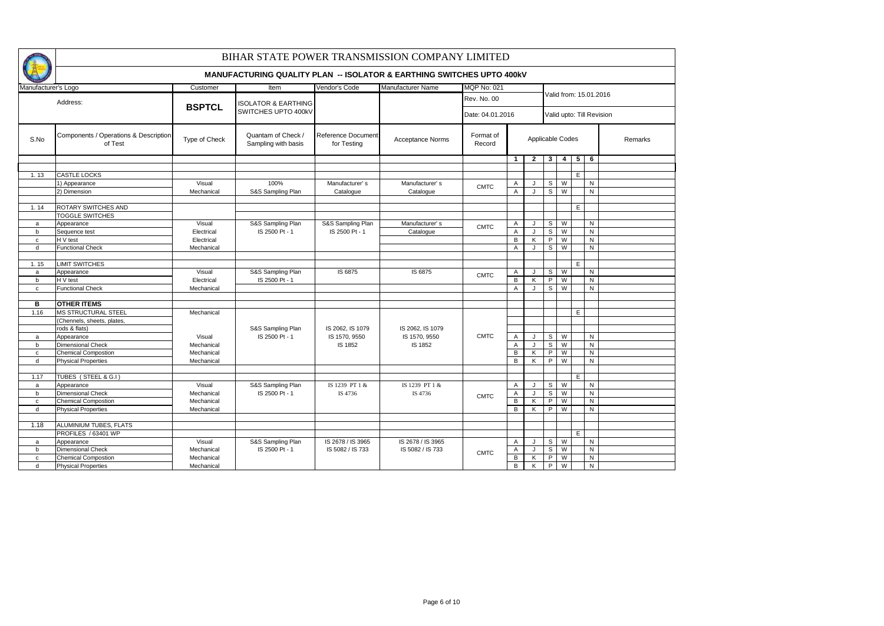|                     |                                                  |               | BIHAR STATE POWER TRANSMISSION COMPANY LIMITED                                   |                                   |                         |                     |                |                  |                        |                         |    |           |                           |  |  |  |
|---------------------|--------------------------------------------------|---------------|----------------------------------------------------------------------------------|-----------------------------------|-------------------------|---------------------|----------------|------------------|------------------------|-------------------------|----|-----------|---------------------------|--|--|--|
|                     |                                                  |               | <b>MANUFACTURING QUALITY PLAN -- ISOLATOR &amp; EARTHING SWITCHES UPTO 400kV</b> |                                   |                         |                     |                |                  |                        |                         |    |           |                           |  |  |  |
| Manufacturer's Logo |                                                  | Customer      | Item                                                                             | Vendor's Code                     | Manufacturer Name       | <b>MQP No: 021</b>  |                |                  |                        |                         |    |           |                           |  |  |  |
|                     | Address:                                         |               | <b>ISOLATOR &amp; EARTHING</b>                                                   |                                   |                         | Rev. No. 00         |                |                  | Valid from: 15.01.2016 |                         |    |           |                           |  |  |  |
|                     |                                                  | <b>BSPTCL</b> | SWITCHES UPTO 400kV                                                              |                                   |                         | Date: 04.01.2016    |                |                  |                        |                         |    |           | Valid upto: Till Revision |  |  |  |
| S.No                | Components / Operations & Description<br>of Test | Type of Check | Quantam of Check /<br>Sampling with basis                                        | Reference Document<br>for Testing | <b>Acceptance Norms</b> | Format of<br>Record |                | Applicable Codes |                        |                         |    |           | Remarks                   |  |  |  |
|                     |                                                  |               |                                                                                  |                                   |                         |                     | $\mathbf{1}$   | $\overline{2}$   | 3 <sup>1</sup>         | $\overline{\mathbf{4}}$ | 5  | 6         |                           |  |  |  |
|                     |                                                  |               |                                                                                  |                                   |                         |                     |                |                  |                        |                         |    |           |                           |  |  |  |
| 1.13                | <b>CASTLE LOCKS</b>                              |               |                                                                                  |                                   |                         |                     |                |                  |                        |                         | E. |           |                           |  |  |  |
|                     | 1) Appearance                                    | Visual        | 100%                                                                             | Manufacturer's                    | Manufacturer's          | <b>CMTC</b>         | A              |                  | s                      | W                       |    | N         |                           |  |  |  |
|                     | 2) Dimension                                     | Mechanical    | S&S Sampling Plan                                                                | Catalogue                         | Catalogue               |                     | $\overline{A}$ | J                | $\overline{s}$         | W                       |    | N         |                           |  |  |  |
|                     |                                                  |               |                                                                                  |                                   |                         |                     |                |                  |                        |                         |    |           |                           |  |  |  |
| 1.14                | ROTARY SWITCHES AND                              |               |                                                                                  |                                   |                         |                     |                |                  |                        |                         | E. |           |                           |  |  |  |
|                     | TOGGLE SWITCHES                                  |               |                                                                                  |                                   |                         |                     |                |                  |                        |                         |    |           |                           |  |  |  |
| $\mathsf{a}$        | Appearance                                       | Visual        | S&S Sampling Plan                                                                | S&S Sampling Plan                 | Manufacturer's          | <b>CMTC</b>         | A              | $\mathbf{J}$     | s                      | W                       |    | N         |                           |  |  |  |
| b                   | Sequence test                                    | Electrical    | IS 2500 Pt - 1                                                                   | IS 2500 Pt - 1                    | Catalogue               |                     | $\overline{A}$ | $\cdot$          | s                      | $\overline{W}$          |    | ${\sf N}$ |                           |  |  |  |
| $\mathbf{C}$        | H V test                                         | Electrical    |                                                                                  |                                   |                         |                     | $\, {\bf B}$   | K                | $\mathsf{P}$           | W                       |    | N         |                           |  |  |  |
| d                   | <b>Functional Check</b>                          | Mechanical    |                                                                                  |                                   |                         |                     | $\overline{A}$ | J                | s                      | W                       |    | ${\sf N}$ |                           |  |  |  |
|                     |                                                  |               |                                                                                  |                                   |                         |                     |                |                  |                        |                         |    |           |                           |  |  |  |
| 1.15                | <b>LIMIT SWITCHES</b>                            |               |                                                                                  |                                   |                         |                     |                |                  |                        |                         | E. |           |                           |  |  |  |
| $\mathsf{a}$        | Appearance                                       | Visual        | S&S Sampling Plan                                                                | IS 6875                           | IS 6875                 | <b>CMTC</b>         | Α              | $\cdot$          | S                      | W                       |    | N         |                           |  |  |  |
| b                   | H V test                                         | Electrical    | IS 2500 Pt - 1                                                                   |                                   |                         |                     | $\overline{B}$ | K                | $\overline{P}$         | W                       |    | ${\sf N}$ |                           |  |  |  |
| $\mathbf{C}$        | <b>Functional Check</b>                          | Mechanical    |                                                                                  |                                   |                         |                     | $\overline{A}$ | J                | s                      | $\overline{W}$          |    | N         |                           |  |  |  |
|                     |                                                  |               |                                                                                  |                                   |                         |                     |                |                  |                        |                         |    |           |                           |  |  |  |
| в                   | <b>OTHER ITEMS</b>                               |               |                                                                                  |                                   |                         |                     |                |                  |                        |                         |    |           |                           |  |  |  |
| 1.16                | <b>MS STRUCTURAL STEEL</b>                       | Mechanical    |                                                                                  |                                   |                         |                     |                |                  |                        |                         | E. |           |                           |  |  |  |
|                     | (Chennels, sheets, plates,                       |               |                                                                                  |                                   |                         |                     |                |                  |                        |                         |    |           |                           |  |  |  |
|                     | rods & flats)                                    |               | S&S Sampling Plan                                                                | IS 2062, IS 1079                  | IS 2062, IS 1079        |                     |                |                  |                        |                         |    |           |                           |  |  |  |
| a                   | Appearance                                       | Visual        | IS 2500 Pt - 1                                                                   | IS 1570, 9550                     | IS 1570, 9550           | <b>CMTC</b>         | A              | J                | S                      | W                       |    | N         |                           |  |  |  |
| b                   | <b>Dimensional Check</b>                         | Mechanical    |                                                                                  | IS 1852                           | IS 1852                 |                     | A              | $\mathbf{J}$     | s                      | W                       |    | ${\sf N}$ |                           |  |  |  |
| $\mathtt{C}$        | Chemical Compostion                              | Mechanical    |                                                                                  |                                   |                         |                     | $\, {\bf B}$   | κ                | P                      | W                       |    | ${\sf N}$ |                           |  |  |  |
| d                   | <b>Physical Properties</b>                       | Mechanical    |                                                                                  |                                   |                         |                     | $\overline{B}$ | K                | $\overline{P}$         | W                       |    | ${\sf N}$ |                           |  |  |  |
|                     |                                                  |               |                                                                                  |                                   |                         |                     |                |                  |                        |                         |    |           |                           |  |  |  |
| 1.17                | TUBES (STEEL & G.I)                              |               |                                                                                  |                                   |                         |                     |                |                  |                        |                         | E  |           |                           |  |  |  |
| a                   | Appearance                                       | Visual        | S&S Sampling Plan                                                                | IS 1239 PT 1 &                    | IS 1239 PT 1 &          |                     | $\overline{A}$ | J                | S                      | W                       |    | N         |                           |  |  |  |
| b                   | <b>Dimensional Check</b>                         | Mechanical    | IS 2500 Pt - 1                                                                   | IS 4736                           | IS 4736                 |                     | $\overline{A}$ | $\mathbf{J}$     | s                      | W                       |    | ${\sf N}$ |                           |  |  |  |
| $\mathtt{C}$        | Chemical Compostion                              | Mechanical    |                                                                                  |                                   |                         | <b>CMTC</b>         | $\overline{B}$ | ĸ                | $\overline{P}$         | W                       |    | ${\sf N}$ |                           |  |  |  |
| d                   | <b>Physical Properties</b>                       | Mechanical    |                                                                                  |                                   |                         |                     | $\overline{B}$ | K                | $\overline{P}$         | W                       |    | N         |                           |  |  |  |
|                     |                                                  |               |                                                                                  |                                   |                         |                     |                |                  |                        |                         |    |           |                           |  |  |  |
| 1.18                | ALUMINIUM TUBES, FLATS                           |               |                                                                                  |                                   |                         |                     |                |                  |                        |                         |    |           |                           |  |  |  |
|                     | PROFILES / 63401 WP                              |               |                                                                                  |                                   |                         |                     |                |                  |                        |                         | E. |           |                           |  |  |  |
| a                   | Appearance                                       | Visual        | S&S Sampling Plan                                                                | IS 2678 / IS 3965                 | IS 2678 / IS 3965       |                     | Α              | $\mathbf{J}$     | s                      | W                       |    | ${\sf N}$ |                           |  |  |  |
| b                   | Dimensional Check                                | Mechanical    | IS 2500 Pt - 1                                                                   | IS 5082 / IS 733                  | IS 5082 / IS 733        |                     | A              | $\cdot$          | s                      | W                       |    | ${\sf N}$ |                           |  |  |  |
| $\mathtt{C}$        | <b>Chemical Compostion</b>                       | Mechanical    |                                                                                  |                                   |                         | <b>CMTC</b>         | $\overline{B}$ | K                | P                      | W                       |    | ${\sf N}$ |                           |  |  |  |
| d                   | <b>Physical Properties</b>                       | Mechanical    |                                                                                  |                                   |                         |                     | $\overline{B}$ | K                | P                      | W                       |    | ${\sf N}$ |                           |  |  |  |
|                     |                                                  |               |                                                                                  |                                   |                         |                     |                |                  |                        |                         |    |           |                           |  |  |  |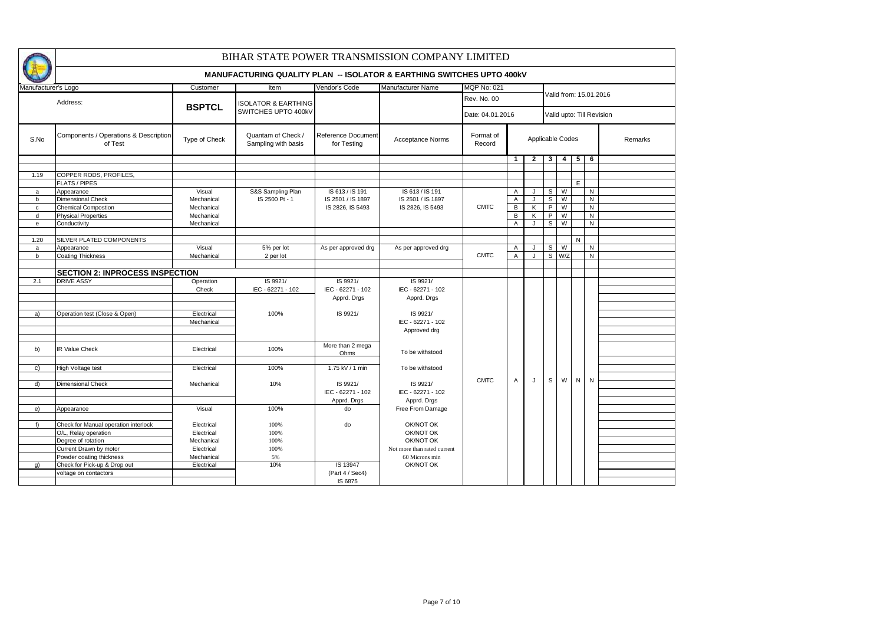|                     |                                                  |               | BIHAR STATE POWER TRANSMISSION COMPANY LIMITED                                   |                                   |                             |                     |              |                  |                        |                |                           |              |         |  |  |  |
|---------------------|--------------------------------------------------|---------------|----------------------------------------------------------------------------------|-----------------------------------|-----------------------------|---------------------|--------------|------------------|------------------------|----------------|---------------------------|--------------|---------|--|--|--|
|                     |                                                  |               | <b>MANUFACTURING QUALITY PLAN -- ISOLATOR &amp; EARTHING SWITCHES UPTO 400kV</b> |                                   |                             |                     |              |                  |                        |                |                           |              |         |  |  |  |
| Manufacturer's Logo |                                                  | Customer      | Item                                                                             | Vendor's Code                     | <b>Manufacturer Name</b>    | <b>MQP No: 021</b>  |              |                  |                        |                |                           |              |         |  |  |  |
|                     | Address:                                         | <b>BSPTCL</b> | <b>ISOLATOR &amp; EARTHING</b>                                                   |                                   |                             | Rev. No. 00         |              |                  | Valid from: 15.01.2016 |                |                           |              |         |  |  |  |
|                     |                                                  |               | SWITCHES UPTO 400kV                                                              |                                   |                             | Date: 04.01.2016    |              |                  |                        |                | Valid upto: Till Revision |              |         |  |  |  |
| S.No                | Components / Operations & Description<br>of Test | Type of Check | Quantam of Check /<br>Sampling with basis                                        | Reference Document<br>for Testing | Acceptance Norms            | Format of<br>Record |              | Applicable Codes |                        |                |                           |              | Remarks |  |  |  |
|                     |                                                  |               |                                                                                  |                                   |                             |                     | $\mathbf{1}$ | $\overline{2}$   | $\mathbf{3}$           | $\overline{4}$ | 5                         | 6            |         |  |  |  |
|                     |                                                  |               |                                                                                  |                                   |                             |                     |              |                  |                        |                |                           |              |         |  |  |  |
| 1.19                | COPPER RODS, PROFILES,                           |               |                                                                                  |                                   |                             |                     |              |                  |                        |                |                           |              |         |  |  |  |
|                     | <b>FLATS / PIPES</b>                             |               |                                                                                  |                                   |                             |                     |              |                  |                        |                | E.                        |              |         |  |  |  |
| a                   | Appearance                                       | Visual        | S&S Sampling Plan                                                                | IS 613 / IS 191                   | IS 613 / IS 191             |                     | Α            | J                | s                      | W              |                           | ${\sf N}$    |         |  |  |  |
| $\mathbf b$         | <b>Dimensional Check</b>                         | Mechanical    | IS 2500 Pt - 1                                                                   | IS 2501 / IS 1897                 | IS 2501 / IS 1897           |                     | Α            | J                | S                      | W              |                           | $\mathsf{N}$ |         |  |  |  |
| $\mathbf{C}$        | <b>Chemical Compostion</b>                       | Mechanical    |                                                                                  | IS 2826, IS 5493                  | IS 2826, IS 5493            | <b>CMTC</b>         | В            | Κ                | P                      | W              |                           | ${\sf N}$    |         |  |  |  |
| d                   | <b>Physical Properties</b>                       | Mechanical    |                                                                                  |                                   |                             |                     | В            | K                | P                      | W              |                           | $\mathsf{N}$ |         |  |  |  |
| e                   | Conductivity                                     | Mechanical    |                                                                                  |                                   |                             |                     | Α            | J                | S                      | W              |                           | ${\sf N}$    |         |  |  |  |
|                     |                                                  |               |                                                                                  |                                   |                             |                     |              |                  |                        |                |                           |              |         |  |  |  |
| 1.20                | SILVER PLATED COMPONENTS                         |               |                                                                                  |                                   |                             |                     |              |                  |                        |                | $\mathsf{N}$              |              |         |  |  |  |
| a                   | Appearance                                       | Visual        | 5% per lot                                                                       | As per approved drg               | As per approved drg         |                     | A            | $\mathbf{J}$     | s                      | W              |                           | N            |         |  |  |  |
| b                   | <b>Coating Thickness</b>                         | Mechanical    | 2 per lot                                                                        |                                   |                             | <b>CMTC</b>         | Α            | J                | s                      | W/Z            |                           | $\mathsf{N}$ |         |  |  |  |
|                     |                                                  |               |                                                                                  |                                   |                             |                     |              |                  |                        |                |                           |              |         |  |  |  |
|                     | <b>SECTION 2: INPROCESS INSPECTION</b>           |               |                                                                                  |                                   |                             |                     |              |                  |                        |                |                           |              |         |  |  |  |
| 2.1                 | <b>DRIVE ASSY</b>                                | Operation     | IS 9921/                                                                         | IS 9921/                          | IS 9921/                    |                     |              |                  |                        |                |                           |              |         |  |  |  |
|                     |                                                  | Check         | IEC - 62271 - 102                                                                | IEC - 62271 - 102                 | IEC - 62271 - 102           |                     |              |                  |                        |                |                           |              |         |  |  |  |
|                     |                                                  |               |                                                                                  | Apprd. Drgs                       | Apprd. Drgs                 |                     |              |                  |                        |                |                           |              |         |  |  |  |
|                     |                                                  |               |                                                                                  |                                   |                             |                     |              |                  |                        |                |                           |              |         |  |  |  |
| a)                  | Operation test (Close & Open)                    | Electrical    | 100%                                                                             | IS 9921/                          | IS 9921/                    |                     |              |                  |                        |                |                           |              |         |  |  |  |
|                     |                                                  | Mechanical    |                                                                                  |                                   | IEC - 62271 - 102           |                     |              |                  |                        |                |                           |              |         |  |  |  |
|                     |                                                  |               |                                                                                  |                                   | Approved drg                |                     |              |                  |                        |                |                           |              |         |  |  |  |
|                     |                                                  |               |                                                                                  | More than 2 mega                  |                             |                     |              |                  |                        |                |                           |              |         |  |  |  |
| b)                  | <b>IR Value Check</b>                            | Electrical    | 100%                                                                             | Ohms                              | To be withstood             |                     |              |                  |                        |                |                           |              |         |  |  |  |
|                     |                                                  |               |                                                                                  |                                   |                             |                     |              |                  |                        |                |                           |              |         |  |  |  |
| C)                  | High Voltage test                                | Electrical    | 100%                                                                             | 1.75 kV / 1 min                   | To be withstood             |                     |              |                  |                        |                |                           |              |         |  |  |  |
|                     |                                                  |               |                                                                                  |                                   |                             |                     |              |                  |                        |                |                           |              |         |  |  |  |
| $\mathsf{d}$        | <b>Dimensional Check</b>                         | Mechanical    | 10%                                                                              | IS 9921/                          | IS 9921/                    | <b>CMTC</b>         | Α            | J                | s                      | W              | $\mathsf{N}$              | N            |         |  |  |  |
|                     |                                                  |               |                                                                                  | IEC - 62271 - 102                 | IEC - 62271 - 102           |                     |              |                  |                        |                |                           |              |         |  |  |  |
|                     |                                                  |               |                                                                                  | Apprd. Drgs                       | Apprd. Drgs                 |                     |              |                  |                        |                |                           |              |         |  |  |  |
| e)                  | Appearance                                       | Visual        | 100%                                                                             | do                                | Free From Damage            |                     |              |                  |                        |                |                           |              |         |  |  |  |
|                     |                                                  |               |                                                                                  |                                   |                             |                     |              |                  |                        |                |                           |              |         |  |  |  |
| f)                  | Check for Manual operation interlock             | Electrical    | 100%                                                                             | do                                | OK/NOT OK                   |                     |              |                  |                        |                |                           |              |         |  |  |  |
|                     | O/L, Relay operation                             | Electrical    | 100%                                                                             |                                   | OK/NOT OK                   |                     |              |                  |                        |                |                           |              |         |  |  |  |
|                     | Degree of rotation                               | Mechanical    | 100%                                                                             |                                   | OK/NOT OK                   |                     |              |                  |                        |                |                           |              |         |  |  |  |
|                     | Current Drawn by motor                           | Electrical    | 100%                                                                             |                                   | Not more than rated current |                     |              |                  |                        |                |                           |              |         |  |  |  |
|                     | Powder coating thickness                         | Mechanical    | 5%                                                                               |                                   | 60 Microns min              |                     |              |                  |                        |                |                           |              |         |  |  |  |
| q)                  | Check for Pick-up & Drop out                     | Electrical    | 10%                                                                              | IS 13947                          | OK/NOT OK                   |                     |              |                  |                        |                |                           |              |         |  |  |  |
|                     | voltage on contactors                            |               |                                                                                  | (Part 4 / Sec4)                   |                             |                     |              |                  |                        |                |                           |              |         |  |  |  |
|                     |                                                  |               |                                                                                  | IS 6875                           |                             |                     |              |                  |                        |                |                           |              |         |  |  |  |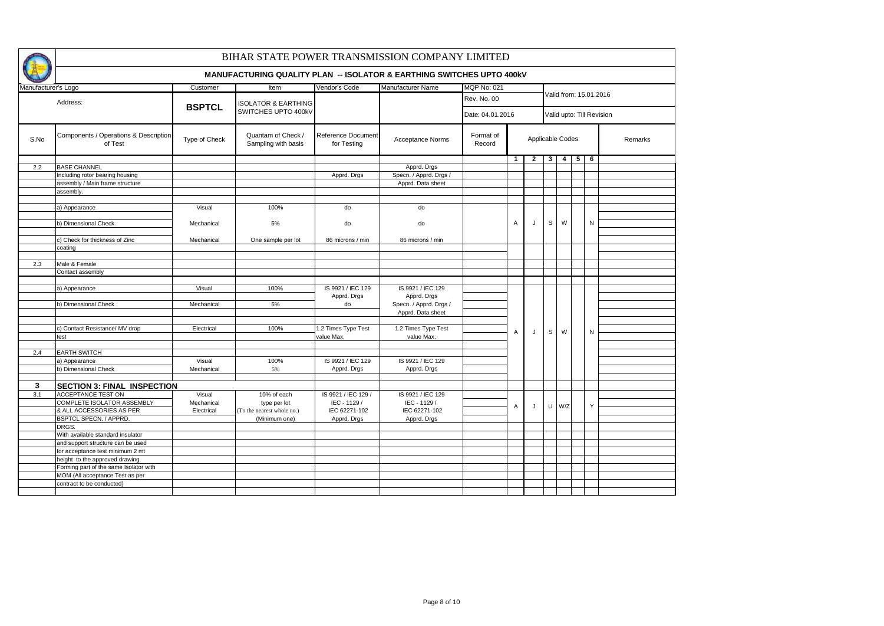|                     |                                                  |               | BIHAR STATE POWER TRANSMISSION COMPANY LIMITED                                   |                                   |                          |                     |                  |                  |                |                |   |                        |                           |
|---------------------|--------------------------------------------------|---------------|----------------------------------------------------------------------------------|-----------------------------------|--------------------------|---------------------|------------------|------------------|----------------|----------------|---|------------------------|---------------------------|
|                     |                                                  |               | <b>MANUFACTURING QUALITY PLAN -- ISOLATOR &amp; EARTHING SWITCHES UPTO 400kV</b> |                                   |                          |                     |                  |                  |                |                |   |                        |                           |
| Manufacturer's Logo |                                                  | Customer      | Item                                                                             | Vendor's Code                     | <b>Manufacturer Name</b> | <b>MQP No: 021</b>  |                  |                  |                |                |   |                        |                           |
|                     | Address:                                         |               | <b>ISOLATOR &amp; EARTHING</b>                                                   |                                   |                          | Rev. No. 00         |                  |                  |                |                |   | Valid from: 15.01.2016 |                           |
|                     |                                                  | <b>BSPTCL</b> | SWITCHES UPTO 400kV                                                              |                                   |                          |                     | Date: 04.01.2016 |                  |                |                |   |                        | Valid upto: Till Revision |
| S.No                | Components / Operations & Description<br>of Test | Type of Check | Quantam of Check /<br>Sampling with basis                                        | Reference Document<br>for Testing | Acceptance Norms         | Format of<br>Record |                  | Applicable Codes |                |                |   |                        | Remarks                   |
|                     |                                                  |               |                                                                                  |                                   |                          |                     | $\overline{1}$   | $\mathbf{2}$     | 3 <sup>1</sup> | $\overline{4}$ | 5 | 6                      |                           |
| 2.2                 | <b>BASE CHANNEL</b>                              |               |                                                                                  |                                   | Apprd. Drgs              |                     |                  |                  |                |                |   |                        |                           |
|                     | Including rotor bearing housing                  |               |                                                                                  | Apprd. Drgs                       | Specn. / Apprd. Drgs /   |                     |                  |                  |                |                |   |                        |                           |
|                     | assembly / Main frame structure                  |               |                                                                                  |                                   | Apprd. Data sheet        |                     |                  |                  |                |                |   |                        |                           |
|                     | assembly                                         |               |                                                                                  |                                   |                          |                     |                  |                  |                |                |   |                        |                           |
|                     |                                                  |               |                                                                                  |                                   |                          |                     |                  |                  |                |                |   |                        |                           |
|                     | a) Appearance                                    | Visual        | 100%                                                                             | do                                | do                       |                     |                  |                  |                |                |   |                        |                           |
|                     |                                                  |               |                                                                                  |                                   |                          |                     |                  |                  |                |                |   |                        |                           |
|                     | b) Dimensional Check                             | Mechanical    | 5%                                                                               | do                                | do                       |                     | A                | J                | $\mathbb S$    | W              |   | ${\sf N}$              |                           |
|                     |                                                  |               |                                                                                  |                                   |                          |                     |                  |                  |                |                |   |                        |                           |
|                     | c) Check for thickness of Zinc                   | Mechanical    | One sample per lot                                                               | 86 microns / min                  | 86 microns / min         |                     |                  |                  |                |                |   |                        |                           |
|                     | coating                                          |               |                                                                                  |                                   |                          |                     |                  |                  |                |                |   |                        |                           |
|                     |                                                  |               |                                                                                  |                                   |                          |                     |                  |                  |                |                |   |                        |                           |
| 2.3                 | Male & Female                                    |               |                                                                                  |                                   |                          |                     |                  |                  |                |                |   |                        |                           |
|                     | Contact assembly                                 |               |                                                                                  |                                   |                          |                     |                  |                  |                |                |   |                        |                           |
|                     |                                                  |               |                                                                                  |                                   |                          |                     |                  |                  |                |                |   |                        |                           |
|                     | a) Appearance                                    | Visual        | 100%                                                                             | IS 9921 / IEC 129                 | IS 9921 / IEC 129        |                     |                  |                  |                |                |   |                        |                           |
|                     |                                                  |               | 5%                                                                               | Apprd. Drgs                       | Apprd. Drgs              |                     |                  |                  |                |                |   |                        |                           |
|                     | b) Dimensional Check                             | Mechanical    |                                                                                  | do                                | Specn. / Apprd. Drgs /   |                     |                  |                  |                |                |   |                        |                           |
|                     |                                                  |               |                                                                                  |                                   | Apprd. Data sheet        |                     |                  |                  |                |                |   |                        |                           |
|                     | c) Contact Resistance/ MV drop                   | Electrical    | 100%                                                                             | 1.2 Times Type Test               | 1.2 Times Type Test      |                     |                  |                  |                |                |   |                        |                           |
|                     | test                                             |               |                                                                                  | value Max.                        | value Max.               |                     | $\overline{A}$   | J                | $\mathbb S$    | W              |   | N                      |                           |
|                     |                                                  |               |                                                                                  |                                   |                          |                     |                  |                  |                |                |   |                        |                           |
| 2.4                 | <b>EARTH SWITCH</b>                              |               |                                                                                  |                                   |                          |                     |                  |                  |                |                |   |                        |                           |
|                     | a) Appearance                                    | Visual        | 100%                                                                             | IS 9921 / IEC 129                 | IS 9921 / IEC 129        |                     |                  |                  |                |                |   |                        |                           |
|                     | b) Dimensional Check                             | Mechanical    | 5%                                                                               | Apprd. Drgs                       | Apprd. Drgs              |                     |                  |                  |                |                |   |                        |                           |
|                     |                                                  |               |                                                                                  |                                   |                          |                     |                  |                  |                |                |   |                        |                           |
| 3                   | <b>SECTION 3: FINAL INSPECTION</b>               |               |                                                                                  |                                   |                          |                     |                  |                  |                |                |   |                        |                           |
| 3.1                 | ACCEPTANCE TEST ON                               | Visual        | 10% of each                                                                      | IS 9921 / IEC 129 /               | IS 9921 / IEC 129        |                     |                  |                  |                |                |   |                        |                           |
|                     | COMPLETE ISOLATOR ASSEMBLY                       | Mechanical    | type per lot                                                                     | IEC - 1129 /                      | IEC - 1129 /             |                     |                  |                  |                |                |   |                        |                           |
|                     | & ALL ACCESSORIES AS PER                         | Electrical    | (To the nearest whole no.)                                                       | IEC 62271-102                     | IEC 62271-102            |                     | A                | J                |                | $U$ W/Z        |   | Y                      |                           |
|                     | <b>BSPTCL SPECN. / APPRD.</b>                    |               | (Minimum one)                                                                    | Apprd. Drgs                       | Apprd. Drgs              |                     |                  |                  |                |                |   |                        |                           |
|                     | DRGS.                                            |               |                                                                                  |                                   |                          |                     |                  |                  |                |                |   |                        |                           |
|                     | With available standard insulator                |               |                                                                                  |                                   |                          |                     |                  |                  |                |                |   |                        |                           |
|                     | and support structure can be used                |               |                                                                                  |                                   |                          |                     |                  |                  |                |                |   |                        |                           |
|                     | for acceptance test minimum 2 mt                 |               |                                                                                  |                                   |                          |                     |                  |                  |                |                |   |                        |                           |
|                     | height to the approved drawing                   |               |                                                                                  |                                   |                          |                     |                  |                  |                |                |   |                        |                           |
|                     | Forming part of the same Isolator with           |               |                                                                                  |                                   |                          |                     |                  |                  |                |                |   |                        |                           |
|                     | MOM (All acceptance Test as per                  |               |                                                                                  |                                   |                          |                     |                  |                  |                |                |   |                        |                           |
|                     | contract to be conducted)                        |               |                                                                                  |                                   |                          |                     |                  |                  |                |                |   |                        |                           |
|                     |                                                  |               |                                                                                  |                                   |                          |                     |                  |                  |                |                |   |                        |                           |
|                     |                                                  |               |                                                                                  |                                   |                          |                     |                  |                  |                |                |   |                        |                           |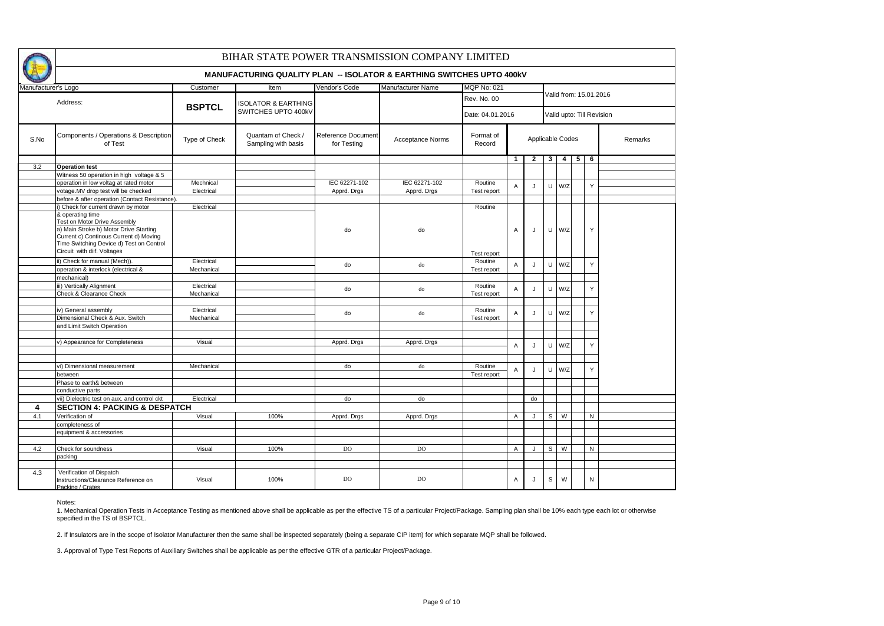|                     | BIHAR STATE POWER TRANSMISSION COMPANY LIMITED                                                                                                                                                                        |               |                                                                                  |                                   |                   |                     |                |                  |                        |                |                |                           |         |  |  |  |  |
|---------------------|-----------------------------------------------------------------------------------------------------------------------------------------------------------------------------------------------------------------------|---------------|----------------------------------------------------------------------------------|-----------------------------------|-------------------|---------------------|----------------|------------------|------------------------|----------------|----------------|---------------------------|---------|--|--|--|--|
|                     |                                                                                                                                                                                                                       |               | <b>MANUFACTURING QUALITY PLAN -- ISOLATOR &amp; EARTHING SWITCHES UPTO 400KV</b> |                                   |                   |                     |                |                  |                        |                |                |                           |         |  |  |  |  |
| Manufacturer's Logo |                                                                                                                                                                                                                       | Customer      | Item                                                                             | <b>Vendor's Code</b>              | Manufacturer Name | <b>MQP No: 021</b>  |                |                  |                        |                |                |                           |         |  |  |  |  |
|                     | Address:                                                                                                                                                                                                              | <b>BSPTCL</b> | <b>ISOLATOR &amp; EARTHING</b>                                                   |                                   |                   | Rev. No. 00         |                |                  | Valid from: 15.01.2016 |                |                |                           |         |  |  |  |  |
|                     |                                                                                                                                                                                                                       |               | SWITCHES UPTO 400kV                                                              |                                   |                   | Date: 04.01.2016    |                |                  |                        |                |                | Valid upto: Till Revision |         |  |  |  |  |
| S.No                | Components / Operations & Description<br>of Test                                                                                                                                                                      | Type of Check | Quantam of Check /<br>Sampling with basis                                        | Reference Document<br>for Testing | Acceptance Norms  | Format of<br>Record |                | Applicable Codes |                        |                |                |                           | Remarks |  |  |  |  |
|                     |                                                                                                                                                                                                                       |               |                                                                                  |                                   |                   |                     | $\mathbf{1}$   | $\overline{2}$   | $\mathbf{3}$           | $\overline{4}$ | 5 <sup>1</sup> | 6                         |         |  |  |  |  |
| 3.2                 | <b>Operation test</b>                                                                                                                                                                                                 |               |                                                                                  |                                   |                   |                     |                |                  |                        |                |                |                           |         |  |  |  |  |
|                     | Witness 50 operation in high voltage & 5                                                                                                                                                                              |               |                                                                                  |                                   |                   |                     |                |                  |                        |                |                |                           |         |  |  |  |  |
|                     | operation in low voltag at rated motor                                                                                                                                                                                | Mechnical     |                                                                                  | IEC 62271-102                     | IEC 62271-102     | Routine             | $\overline{A}$ | $\mathbf{J}$     | $\cup$                 | W/Z            |                | Y                         |         |  |  |  |  |
|                     | votage.MV drop test will be checked                                                                                                                                                                                   | Electrical    |                                                                                  | Apprd. Drgs                       | Apprd. Drgs       | Test report         |                |                  |                        |                |                |                           |         |  |  |  |  |
|                     | before & after operation (Contact Resistance).                                                                                                                                                                        |               |                                                                                  |                                   |                   |                     |                |                  |                        |                |                |                           |         |  |  |  |  |
|                     | i) Check for current drawn by motor                                                                                                                                                                                   | Electrical    |                                                                                  |                                   |                   | Routine             |                |                  |                        |                |                |                           |         |  |  |  |  |
|                     | & operating time<br><b>Test on Motor Drive Assembly</b><br>a) Main Stroke b) Motor Drive Starting<br>Current c) Continous Current d) Moving<br>Time Switching Device d) Test on Control<br>Circuit with dif. Voltages |               |                                                                                  | do                                | do                | Test report         | A              | J.               | U                      | W/Z            |                | Y                         |         |  |  |  |  |
|                     | ii) Check for manual (Mech)).                                                                                                                                                                                         | Electrical    |                                                                                  |                                   |                   | Routine             |                |                  |                        |                |                |                           |         |  |  |  |  |
|                     | operation & interlock (electrical &                                                                                                                                                                                   | Mechanical    |                                                                                  | do                                | do                | Test report         | Α              | $\mathbf{J}$     | $\sf U$                | W/Z            |                | Y                         |         |  |  |  |  |
|                     | mechanical)                                                                                                                                                                                                           |               |                                                                                  |                                   |                   |                     |                |                  |                        |                |                |                           |         |  |  |  |  |
|                     | iii) Vertically Alignment                                                                                                                                                                                             | Electrical    |                                                                                  |                                   |                   | Routine             |                |                  |                        |                |                |                           |         |  |  |  |  |
|                     | Check & Clearance Check                                                                                                                                                                                               | Mechanical    |                                                                                  | do                                | do                | Test report         | $\overline{A}$ | $\mathbf{J}$     | $\cup$                 | W/Z            |                | Y                         |         |  |  |  |  |
|                     |                                                                                                                                                                                                                       |               |                                                                                  |                                   |                   |                     |                |                  |                        |                |                |                           |         |  |  |  |  |
|                     | iv) General assembly                                                                                                                                                                                                  | Electrical    |                                                                                  |                                   |                   | Routine             |                |                  |                        |                |                |                           |         |  |  |  |  |
|                     |                                                                                                                                                                                                                       |               |                                                                                  | do                                | do                |                     | A              | $\cdot$          | $\mathbf{U}$           | W/Z            |                | Y                         |         |  |  |  |  |
|                     | Dimensional Check & Aux. Switch                                                                                                                                                                                       | Mechanical    |                                                                                  |                                   |                   | Test report         |                |                  |                        |                |                |                           |         |  |  |  |  |
|                     | and Limit Switch Operation                                                                                                                                                                                            |               |                                                                                  |                                   |                   |                     |                |                  |                        |                |                |                           |         |  |  |  |  |
|                     |                                                                                                                                                                                                                       |               |                                                                                  |                                   |                   |                     |                |                  |                        |                |                |                           |         |  |  |  |  |
|                     | v) Appearance for Completeness                                                                                                                                                                                        | Visual        |                                                                                  | Apprd. Drgs                       | Apprd. Drgs       |                     | A              |                  | U                      | W/Z            |                | Y                         |         |  |  |  |  |
|                     |                                                                                                                                                                                                                       |               |                                                                                  |                                   |                   |                     |                |                  |                        |                |                |                           |         |  |  |  |  |
|                     |                                                                                                                                                                                                                       |               |                                                                                  |                                   |                   |                     |                |                  |                        |                |                |                           |         |  |  |  |  |
|                     | vi) Dimensional measurement                                                                                                                                                                                           | Mechanical    |                                                                                  | do                                | do                | Routine             | Α              | $\mathbf{J}$     | $\cup$                 | W/Z            |                | Y                         |         |  |  |  |  |
|                     | between                                                                                                                                                                                                               |               |                                                                                  |                                   |                   | Test report         |                |                  |                        |                |                |                           |         |  |  |  |  |
|                     | Phase to earth& between                                                                                                                                                                                               |               |                                                                                  |                                   |                   |                     |                |                  |                        |                |                |                           |         |  |  |  |  |
|                     | conductive parts                                                                                                                                                                                                      |               |                                                                                  |                                   |                   |                     |                |                  |                        |                |                |                           |         |  |  |  |  |
|                     | vii) Dielectric test on aux. and control ckt                                                                                                                                                                          | Electrical    |                                                                                  | do                                | do                |                     |                | do               |                        |                |                |                           |         |  |  |  |  |
| 4                   | <b>SECTION 4: PACKING &amp; DESPATCH</b>                                                                                                                                                                              |               |                                                                                  |                                   |                   |                     |                |                  |                        |                |                |                           |         |  |  |  |  |
| 4.1                 | Verification of                                                                                                                                                                                                       | Visual        | 100%                                                                             | Apprd. Drgs                       | Apprd. Drgs       |                     | $\overline{A}$ | J                | S                      | W              |                | N                         |         |  |  |  |  |
|                     | completeness of                                                                                                                                                                                                       |               |                                                                                  |                                   |                   |                     |                |                  |                        |                |                |                           |         |  |  |  |  |
|                     | equipment & accessories                                                                                                                                                                                               |               |                                                                                  |                                   |                   |                     |                |                  |                        |                |                |                           |         |  |  |  |  |
|                     |                                                                                                                                                                                                                       |               |                                                                                  |                                   |                   |                     |                |                  |                        |                |                |                           |         |  |  |  |  |
| 4.2                 | Check for soundness                                                                                                                                                                                                   | Visual        | 100%                                                                             | <b>DO</b>                         | DO.               |                     | A              | . I              | S                      | W              |                | N                         |         |  |  |  |  |
|                     | packing                                                                                                                                                                                                               |               |                                                                                  |                                   |                   |                     |                |                  |                        |                |                |                           |         |  |  |  |  |
|                     |                                                                                                                                                                                                                       |               |                                                                                  |                                   |                   |                     |                |                  |                        |                |                |                           |         |  |  |  |  |
| 4.3                 | Verification of Dispatch<br>Instructions/Clearance Reference on<br>Packing / Crates                                                                                                                                   | Visual        | 100%                                                                             | DO                                | DO                |                     | A              |                  | S                      | W              |                | N                         |         |  |  |  |  |

Notes:

1. Mechanical Operation Tests in Acceptance Testing as mentioned above shall be applicable as per the effective TS of a particular Project/Package. Sampling plan shall be 10% each type each lot or otherwise specified in the TS of BSPTCL.

2. If Insulators are in the scope of Isolator Manufacturer then the same shall be inspected separately (being a separate CIP item) for which separate MQP shall be followed.

3. Approval of Type Test Reports of Auxiliary Switches shall be applicable as per the effective GTR of a particular Project/Package.